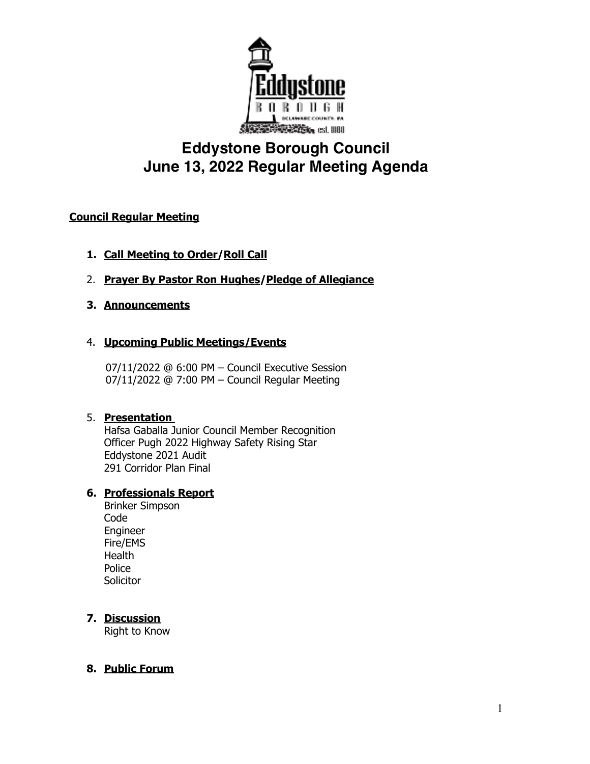

# **Eddystone Borough Council June 13, 2022 Regular Meeting Agenda**

## **Council Regular Meeting**

- **1. Call Meeting to Order/Roll Call**
- 2. **Prayer By Pastor Ron Hughes/Pledge of Allegiance**

### **3. Announcements**

### 4. **Upcoming Public Meetings/Events**

 07/11/2022 @ 6:00 PM – Council Executive Session 07/11/2022 @ 7:00 PM – Council Regular Meeting

### 5. **Presentation**

Hafsa Gaballa Junior Council Member Recognition Officer Pugh 2022 Highway Safety Rising Star Eddystone 2021 Audit 291 Corridor Plan Final

## **6. Professionals Report**

Brinker Simpson Code Engineer Fire/EMS **Health** Police **Solicitor** 

## **7. Discussion**

Right to Know

## **8. Public Forum**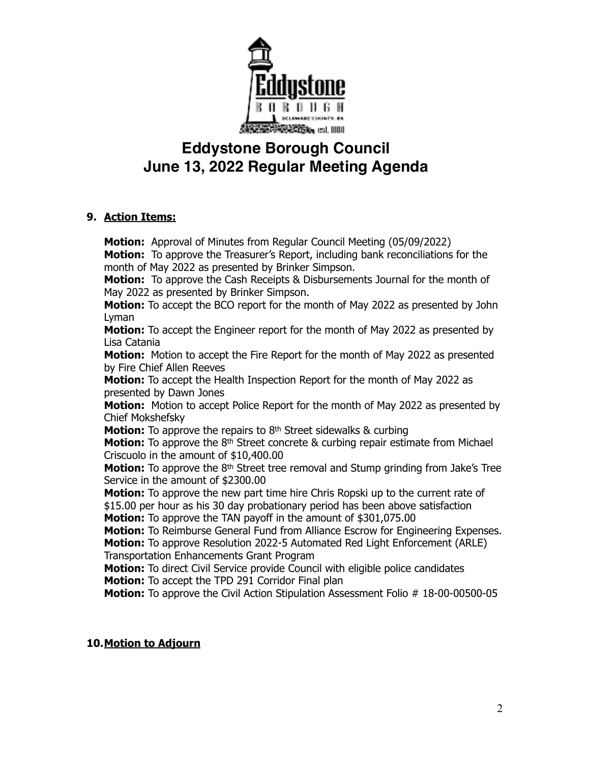

## **Eddystone Borough Council June 13, 2022 Regular Meeting Agenda**

### **9. Action Items:**

**Motion:** Approval of Minutes from Regular Council Meeting (05/09/2022) **Motion:** To approve the Treasurer's Report, including bank reconciliations for the month of May 2022 as presented by Brinker Simpson. **Motion:** To approve the Cash Receipts & Disbursements Journal for the month of May 2022 as presented by Brinker Simpson. **Motion:** To accept the BCO report for the month of May 2022 as presented by John Lyman **Motion:** To accept the Engineer report for the month of May 2022 as presented by Lisa Catania **Motion:** Motion to accept the Fire Report for the month of May 2022 as presented by Fire Chief Allen Reeves **Motion:** To accept the Health Inspection Report for the month of May 2022 as presented by Dawn Jones **Motion:** Motion to accept Police Report for the month of May 2022 as presented by Chief Mokshefsky **Motion:** To approve the repairs to 8<sup>th</sup> Street sidewalks & curbing **Motion:** To approve the 8<sup>th</sup> Street concrete & curbing repair estimate from Michael Criscuolo in the amount of \$10,400.00 **Motion:** To approve the 8<sup>th</sup> Street tree removal and Stump grinding from Jake's Tree Service in the amount of \$2300.00 **Motion:** To approve the new part time hire Chris Ropski up to the current rate of \$15.00 per hour as his 30 day probationary period has been above satisfaction **Motion:** To approve the TAN payoff in the amount of \$301,075.00 **Motion:** To Reimburse General Fund from Alliance Escrow for Engineering Expenses. **Motion:** To approve Resolution 2022-5 Automated Red Light Enforcement (ARLE) Transportation Enhancements Grant Program **Motion:** To direct Civil Service provide Council with eligible police candidates **Motion:** To accept the TPD 291 Corridor Final plan **Motion:** To approve the Civil Action Stipulation Assessment Folio # 18-00-00500-05

## **10.Motion to Adjourn**